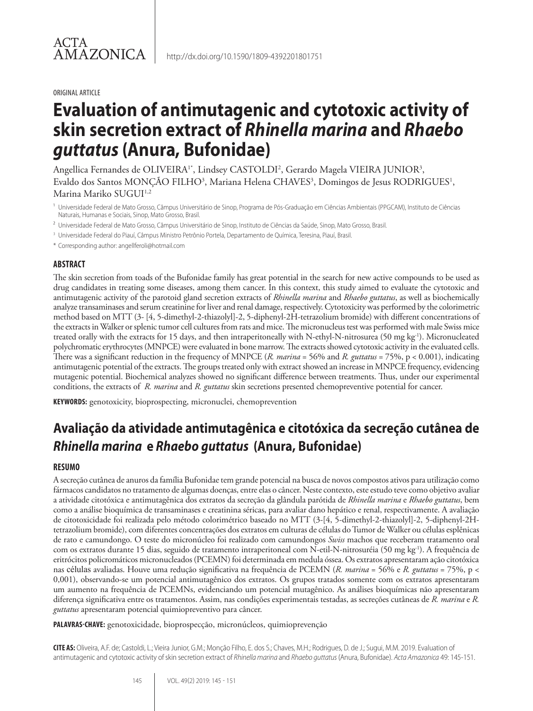#### ORIGINAL ARTICLE

# **Evaluation of antimutagenic and cytotoxic activity of skin secretion extract of** *Rhinella marina* **and** *Rhaebo guttatus* **(Anura, Bufonidae)**

Angellica Fernandes de OLIVEIRA<sup>1</sup>\*, Lindsey CASTOLDI<sup>2</sup>, Gerardo Magela VIEIRA JUNIOR<sup>3</sup>, Evaldo dos Santos MONÇÃO FILHO<sup>3</sup>, Mariana Helena CHAVES<sup>3</sup>, Domingos de Jesus RODRIGUES<sup>1</sup>, Marina Mariko SUGUI<sup>1,2</sup>

- ² Universidade Federal de Mato Grosso, Câmpus Universitário de Sinop, Instituto de Ciências da Saúde, Sinop, Mato Grosso, Brasil.
- <sup>3</sup> Universidade Federal do Piauí, Câmpus Ministro Petrônio Portela, Departamento de Química, Teresina, Piauí, Brasil
- \* Corresponding author: angellferoli@hotmail.com

#### **ABSTRACT**

The skin secretion from toads of the Bufonidae family has great potential in the search for new active compounds to be used as drug candidates in treating some diseases, among them cancer. In this context, this study aimed to evaluate the cytotoxic and antimutagenic activity of the parotoid gland secretion extracts of *Rhinella marina* and *Rhaebo guttatus*, as well as biochemically analyze transaminases and serum creatinine for liver and renal damage, respectively. Cytotoxicity was performed by the colorimetric method based on MTT (3- [4, 5-dimethyl-2-thiazolyl]-2, 5-diphenyl-2H-tetrazolium bromide) with different concentrations of the extracts in Walker or splenic tumor cell cultures from rats and mice. The micronucleus test was performed with male Swiss mice treated orally with the extracts for 15 days, and then intraperitoneally with N-ethyl-N-nitrosurea (50 mg kg<sup>-1</sup>). Micronucleated polychromatic erythrocytes (MNPCE) were evaluated in bone marrow. The extracts showed cytotoxic activity in the evaluated cells. There was a significant reduction in the frequency of MNPCE (*R. marina* = 56% and *R. guttatus* = 75%, p < 0.001), indicating antimutagenic potential of the extracts. The groups treated only with extract showed an increase in MNPCE frequency, evidencing mutagenic potential. Biochemical analyzes showed no significant difference between treatments. Thus, under our experimental conditions, the extracts of *R. marina* and *R. guttatus* skin secretions presented chemopreventive potential for cancer.

**KEYWORDS:** genotoxicity, bioprospecting, micronuclei, chemoprevention

## **Avaliação da atividade antimutagênica e citotóxica da secreção cutânea de**  *Rhinella marina* **e** *Rhaebo guttatus* **(Anura, Bufonidae)**

#### **RESUMO**

A secreção cutânea de anuros da família Bufonidae tem grande potencial na busca de novos compostos ativos para utilização como fármacos candidatos no tratamento de algumas doenças, entre elas o câncer. Neste contexto, este estudo teve como objetivo avaliar a atividade citotóxica e antimutagênica dos extratos da secreção da glândula parótida de *Rhinella marina* e *Rhaebo guttatus*, bem como a análise bioquímica de transaminases e creatinina séricas, para avaliar dano hepático e renal, respectivamente. A avaliação de citotoxicidade foi realizada pelo método colorimétrico baseado no MTT (3-[4, 5-dimethyl-2-thiazolyl]-2, 5-diphenyl-2Htetrazolium bromide), com diferentes concentrações dos extratos em culturas de células do Tumor de Walker ou células esplênicas de rato e camundongo. O teste do micronúcleo foi realizado com camundongos *Swiss* machos que receberam tratamento oral com os extratos durante 15 dias, seguido de tratamento intraperitoneal com N-etil-N-nitrosuréia (50 mg kg<sup>-1</sup>). A frequência de eritrócitos policromáticos micronucleados (PCEMN) foi determinada em medula óssea. Os extratos apresentaram ação citotóxica nas células avaliadas. Houve uma redução significativa na frequência de PCEMN (*R. marina* = 56% e *R. guttatus* = 75%, p < 0,001), observando-se um potencial antimutagênico dos extratos. Os grupos tratados somente com os extratos apresentaram um aumento na frequência de PCEMNs, evidenciando um potencial mutagênico. As análises bioquímicas não apresentaram diferença significativa entre os tratamentos. Assim, nas condições experimentais testadas, as secreções cutâneas de *R. marina* e *R. guttatus* apresentaram potencial quimiopreventivo para câncer.

**PALAVRAS-CHAVE:** genotoxicidade, bioprospecção, micronúcleos, quimioprevenção

**CITE AS:** Oliveira, A.F. de; Castoldi, L.; Vieira Junior, G.M.; Monção Filho, E. dos S.; Chaves, M.H.; Rodrigues, D. de J.; Sugui, M.M. 2019. Evaluation of antimutagenic and cytotoxic activity of skin secretion extract of *Rhinella marina* and *Rhaebo guttatus* (Anura, Bufonidae). *Acta Amazonica* 49: 145-151.

<sup>&</sup>lt;sup>1</sup> Universidade Federal de Mato Grosso, Câmpus Universitário de Sinop, Programa de Pós-Graduação em Ciências Ambientais (PPGCAM), Instituto de Ciências Naturais, Humanas e Sociais, Sinop, Mato Grosso, Brasil.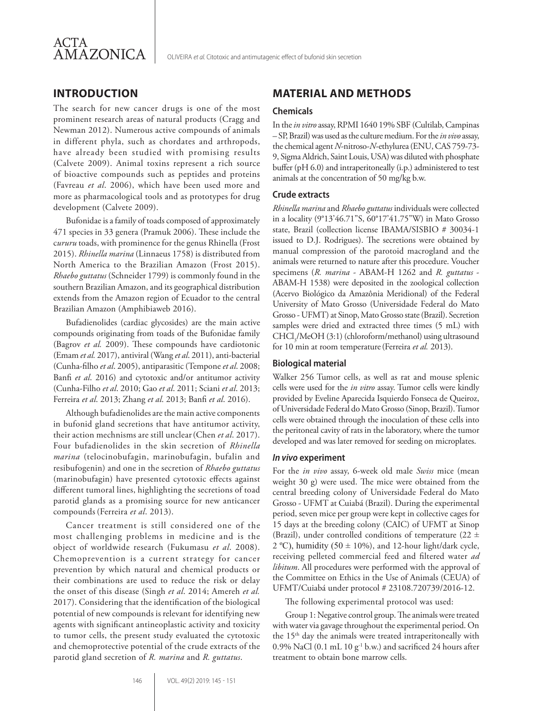

## **INTRODUCTION**

The search for new cancer drugs is one of the most prominent research areas of natural products (Cragg and Newman 2012). Numerous active compounds of animals in different phyla, such as chordates and arthropods, have already been studied with promising results (Calvete 2009). Animal toxins represent a rich source of bioactive compounds such as peptides and proteins (Favreau *et al*. 2006), which have been used more and more as pharmacological tools and as prototypes for drug development (Calvete 2009).

Bufonidae is a family of toads composed of approximately 471 species in 33 genera (Pramuk 2006). These include the c*ururu* toads, with prominence for the genus Rhinella (Frost 2015). *Rhinella marina* (Linnaeus 1758) is distributed from North America to the Brazilian Amazon (Frost 2015). *Rhaebo guttatus* (Schneider 1799) is commonly found in the southern Brazilian Amazon, and its geographical distribution extends from the Amazon region of Ecuador to the central Brazilian Amazon (Amphibiaweb 2016).

Bufadienolides (cardiac glycosides) are the main active compounds originating from toads of the Bufonidae family (Bagrov *et al.* 2009). These compounds have cardiotonic (Emam *et al.* 2017), antiviral (Wang *et al*. 2011), anti-bacterial (Cunha-filho *et al*. 2005), antiparasitic (Tempone *et al*. 2008; Banfi *et al*. 2016) and cytotoxic and/or antitumor activity (Cunha-Filho *et al*. 2010; Gao *et al*. 2011; Sciani *et al*. 2013; Ferreira *et al*. 2013; Zhang *et al*. 2013; Banfi *et al*. 2016).

Although bufadienolides are the main active components in bufonid gland secretions that have antitumor activity, their action mechnisms are still unclear(Chen *et al*. 2017). Four bufadienolides in the skin secretion of *Rhinella marina* (telocinobufagin, marinobufagin, bufalin and resibufogenin) and one in the secretion of *Rhaebo guttatus* (marinobufagin) have presented cytotoxic effects against different tumoral lines, highlighting the secretions of toad parotid glands as a promising source for new anticancer compounds (Ferreira *et al*. 2013).

Cancer treatment is still considered one of the most challenging problems in medicine and is the object of worldwide research (Fukumasu *et al*. 2008). Chemoprevention is a current strategy for cancer prevention by which natural and chemical products or their combinations are used to reduce the risk or delay the onset of this disease (Singh *et al*. 2014; Amereh *et al.* 2017). Considering that the identification of the biological potential of new compounds is relevant for identifying new agents with significant antineoplastic activity and toxicity to tumor cells, the present study evaluated the cytotoxic and chemoprotective potential of the crude extracts of the parotid gland secretion of *R. marina* and *R. guttatus*.

## **MATERIAL AND METHODS**

#### **Chemicals**

In the *in vitro* assay, RPMI 1640 19% SBF (Cultilab, Campinas – SP, Brazil) was used as the culture medium. For the *in vivo* assay, the chemical agent *N*-nitroso-*N*-ethylurea (ENU, CAS 759-73- 9, Sigma Aldrich, Saint Louis, USA) was diluted with phosphate buffer (pH 6.0) and intraperitoneally (i.p.) administered to test animals at the concentration of 50 mg/kg b.w.

#### **Crude extracts**

*Rhinella marina* and *Rhaebo guttatus* individuals were collected in a locality (9°13'46.71"S, 60°17'41.75"W) in Mato Grosso state, Brazil (collection license IBAMA/SISBIO # 30034-1 issued to D.J. Rodrigues). The secretions were obtained by manual compression of the parotoid macrogland and the animals were returned to nature after this procedure. Voucher specimens (*R. marina* - ABAM-H 1262 and *R. guttatus* - ABAM-H 1538) were deposited in the zoological collection (Acervo Biológico da Amazônia Meridional) of the Federal University of Mato Grosso (Universidade Federal do Mato Grosso - UFMT) at Sinop, Mato Grosso state (Brazil). Secretion samples were dried and extracted three times (5 mL) with CHCl<sub>3</sub>/MeOH (3:1) (chloroform/methanol) using ultrasound for 10 min at room temperature(Ferreira *et al.* 2013).

#### **Biological material**

Walker 256 Tumor cells, as well as rat and mouse splenic cells were used for the *in vitro* assay. Tumor cells were kindly provided by Eveline Aparecida Isquierdo Fonseca de Queiroz, of Universidade Federal do Mato Grosso (Sinop, Brazil).Tumor cells were obtained through the inoculation of these cells into the peritoneal cavity of rats in the laboratory, where the tumor developed and was later removed for seeding on microplates.

#### *In vivo* **experiment**

For the *in vivo* assay, 6-week old male *Swiss* mice (mean weight 30 g) were used. The mice were obtained from the central breeding colony of Universidade Federal do Mato Grosso - UFMT at Cuiabá (Brazil). During the experimental period, seven mice per group were kept in collective cages for 15 days at the breeding colony (CAIC) of UFMT at Sinop (Brazil), under controlled conditions of temperature (22  $\pm$ 2 °C), humidity (50  $\pm$  10%), and 12-hour light/dark cycle, receiving pelleted commercial feed and filtered water *ad libitum*. All procedures were performed with the approval of the Committee on Ethics in the Use of Animals (CEUA) of UFMT/Cuiabá under protocol # 23108.720739/2016-12.

The following experimental protocol was used:

Group 1: Negative control group. The animals were treated with water via gavage throughout the experimental period. On the 15<sup>th</sup> day the animals were treated intraperitoneally with 0.9% NaCl (0.1 mL 10  $g^{-1}$  b.w.) and sacrificed 24 hours after treatment to obtain bone marrow cells.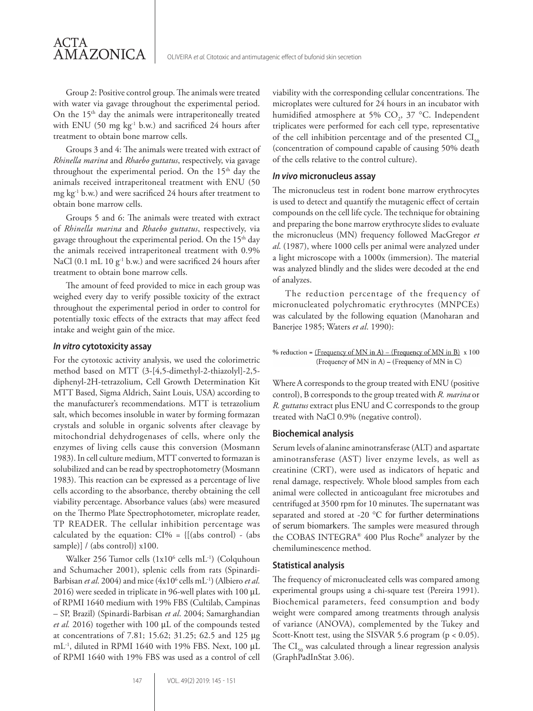Group 2: Positive control group. The animals were treated with water via gavage throughout the experimental period. On the 15<sup>th</sup> day the animals were intraperitoneally treated with ENU (50 mg kg<sup>-1</sup> b.w.) and sacrificed 24 hours after treatment to obtain bone marrow cells.

Groups 3 and 4: The animals were treated with extract of *Rhinella marina* and *Rhaebo guttatus*, respectively, via gavage throughout the experimental period. On the 15<sup>th</sup> day the animals received intraperitoneal treatment with ENU (50 mg kg-1 b.w.) and were sacrificed 24 hours after treatment to obtain bone marrow cells.

Groups 5 and 6: The animals were treated with extract of *Rhinella marina* and *Rhaebo guttatus*, respectively, via gavage throughout the experimental period. On the  $15<sup>th</sup>$  day the animals received intraperitoneal treatment with 0.9% NaCl (0.1 mL 10 g<sup>-1</sup> b.w.) and were sacrificed 24 hours after treatment to obtain bone marrow cells.

The amount of feed provided to mice in each group was weighed every day to verify possible toxicity of the extract throughout the experimental period in order to control for potentially toxic effects of the extracts that may affect feed intake and weight gain of the mice.

#### *In vitro* **cytotoxicity assay**

ACTA

AMAZONICA

For the cytotoxic activity analysis, we used the colorimetric method based on MTT (3-[4,5-dimethyl-2-thiazolyl]-2,5 diphenyl-2H-tetrazolium, Cell Growth Determination Kit MTT Based, Sigma Aldrich, Saint Louis, USA) according to the manufacturer's recommendations. MTT is tetrazolium salt, which becomes insoluble in water by forming formazan crystals and soluble in organic solvents after cleavage by mitochondrial dehydrogenases of cells, where only the enzymes of living cells cause this conversion (Mosmann 1983). In cell culture medium, MTT converted to formazan is solubilized and can be read by spectrophotometry (Mosmann 1983). This reaction can be expressed as a percentage of live cells according to the absorbance, thereby obtaining the cell viability percentage. Absorbance values (abs) were measured on the Thermo Plate Spectrophotometer, microplate reader, TP READER. The cellular inhibition percentage was calculated by the equation:  $CI\% = \{[(abs control) - (abs$ sample)] / (abs control)} x100.

Walker 256 Tumor cells (1x10<sup>6</sup> cells mL<sup>-1</sup>) (Colquhoun and Schumacher 2001), splenic cells from rats (Spinardi-Barbisan *et al*. 2004) and mice (4x106 cells mL-1) (Albiero *et al*. 2016) were seeded in triplicate in 96-well plates with 100 μL of RPMI 1640 medium with 19% FBS (Cultilab, Campinas – SP, Brazil) (Spinardi-Barbisan *et al*. 2004; Samarghandian *et al.* 2016) together with 100 μL of the compounds tested at concentrations of 7.81; 15.62; 31.25; 62.5 and 125 μg mL-1, diluted in RPMI 1640 with 19% FBS. Next, 100 μL of RPMI 1640 with 19% FBS was used as a control of cell

viability with the corresponding cellular concentrations. The microplates were cultured for 24 hours in an incubator with humidified atmosphere at 5%  $CO<sub>2</sub>$ , 37 °C. Independent triplicates were performed for each cell type, representative of the cell inhibition percentage and of the presented  $CI_{50}$ (concentration of compound capable of causing 50% death of the cells relative to the control culture).

#### *In vivo* **micronucleus assay**

The micronucleus test in rodent bone marrow erythrocytes is used to detect and quantify the mutagenic effect of certain compounds on the cell life cycle. The technique for obtaining and preparing the bone marrow erythrocyte slides to evaluate the micronucleus (MN) frequency followed MacGregor *et al*. (1987), where 1000 cells per animal were analyzed under a light microscope with a 1000x (immersion). The material was analyzed blindly and the slides were decoded at the end of analyzes.

The reduction percentage of the frequency of micronucleated polychromatic erythrocytes (MNPCEs) was calculated by the following equation (Manoharan and Banerjee 1985; Waters *et al*. 1990):

% reduction =  $(Frequency of MN in A) - (Frequency of MN in B) x 100$ (Frequency of MN in A) – (Frequency of MN in C)

Where A corresponds to the group treated with ENU (positive control), B corresponds to the group treated with *R. marina* or *R. guttatus* extract plus ENU and C corresponds to the group treated with NaCl 0.9% (negative control).

#### **Biochemical analysis**

Serum levels of alanine aminotransferase (ALT) and aspartate aminotransferase (AST) liver enzyme levels, as well as creatinine (CRT), were used as indicators of hepatic and renal damage, respectively. Whole blood samples from each animal were collected in anticoagulant free microtubes and centrifuged at 3500 rpm for 10 minutes. The supernatant was separated and stored at -20 °C for further determinations of serum biomarkers. The samples were measured through the COBAS INTEGRA® 400 Plus Roche® analyzer by the chemiluminescence method.

#### **Statistical analysis**

The frequency of micronucleated cells was compared among experimental groups using a chi-square test (Pereira 1991). Biochemical parameters, feed consumption and body weight were compared among treatments through analysis of variance (ANOVA), complemented by the Tukey and Scott-Knott test, using the SISVAR 5.6 program (p < 0.05). The  $CI_{50}$  was calculated through a linear regression analysis (GraphPadInStat 3.06).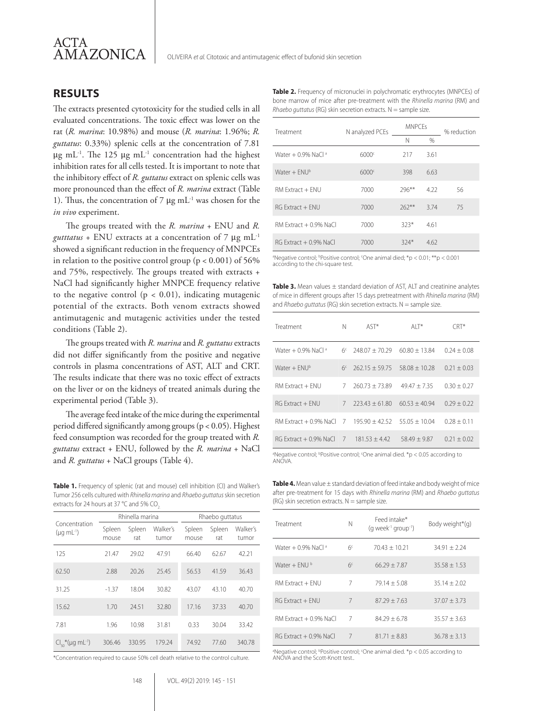

## **RESULTS**

The extracts presented cytotoxicity for the studied cells in all evaluated concentrations. The toxic effect was lower on the rat (*R. marina*: 10.98%) and mouse (*R. marina*: 1.96%; *R. guttatus*: 0.33%) splenic cells at the concentration of 7.81 μg mL<sup>-1</sup>. The 125 μg mL<sup>-1</sup> concentration had the highest inhibition rates for all cells tested. It is important to note that the inhibitory effect of *R. guttatus* extract on splenic cells was more pronounced than the effect of *R. marina* extract (Table 1). Thus, the concentration of 7 μg mL<sup>-1</sup> was chosen for the *in vivo* experiment.

The groups treated with the *R. marina* + ENU and *R. gutttatus* + ENU extracts at a concentration of 7 μg mL-1 showed a significant reduction in the frequency of MNPCEs in relation to the positive control group ( $p < 0.001$ ) of 56% and 75%, respectively. The groups treated with extracts + NaCl had significantly higher MNPCE frequency relative to the negative control ( $p < 0.01$ ), indicating mutagenic potential of the extracts. Both venom extracts showed antimutagenic and mutagenic activities under the tested conditions (Table 2).

The groups treated with *R. marina* and *R. guttatus* extracts did not differ significantly from the positive and negative controls in plasma concentrations of AST, ALT and CRT. The results indicate that there was no toxic effect of extracts on the liver or on the kidneys of treated animals during the experimental period (Table 3).

The average feed intake of the mice during the experimental period differed significantly among groups (p < 0.05). Highest feed consumption was recorded for the group treated with *R. guttatus* extract + ENU, followed by the *R. marina* + NaCl and *R. guttatus* + NaCl groups (Table 4).

**Table 1.** Frequency of splenic (rat and mouse) cell inhibition (CI) and Walker's Tumor 256 cells cultured with *Rhinella marina* and *Rhaebo guttatus* skin secretion extracts for 24 hours at 37 °C and 5% CO.

|                                                 | Rhinella marina |               |                   | Rhaebo guttatus |               |                   |
|-------------------------------------------------|-----------------|---------------|-------------------|-----------------|---------------|-------------------|
| Concentration<br>$(\mu q \text{ mL}^{-1})$      | Spleen<br>mouse | Spleen<br>rat | Walker's<br>tumor | Spleen<br>mouse | Spleen<br>rat | Walker's<br>tumor |
| 125                                             | 21.47           | 29.02         | 47.91             | 66.40           | 62.67         | 42.21             |
| 62.50                                           | 2.88            | 20.26         | 25.45             | 56.53           | 41.59         | 36.43             |
| 31.25                                           | $-1.37$         | 18.04         | 30.82             | 43.07           | 43.10         | 40.70             |
| 15.62                                           | 1.70            | 24.51         | 32.80             | 17.16           | 37.33         | 40.70             |
| 7.81                                            | 1.96            | 10.98         | 31.81             | 0.33            | 30.04         | 33.42             |
| $Cl_{\epsilon_0}^{\ast}(\mu q \text{ mL}^{-1})$ | 306.46          | 330.95        | 179.24            | 74.92           | 77.60         | 340.78            |

\*Concentration required to cause 50% cell death relative to the control culture.

| Treatment                        | N analyzed PCEs   | <b>MNPCFs</b> |      | % reduction |  |
|----------------------------------|-------------------|---------------|------|-------------|--|
|                                  |                   | N             | $\%$ |             |  |
| Water $+$ 0.9% NaCl <sup>a</sup> | 6000 <sup>c</sup> | 217           | 3.61 |             |  |
| Water + $FNU^b$                  | 6000 <sup>c</sup> | 398           | 6.63 |             |  |
| RM Extract + FNU                 | 7000              | $796***$      | 4.22 | 56          |  |
| $RG$ Extract $+$ FNU             | 7000              | $262**$       | 3.74 | 75          |  |
| $RM$ Extract $+$ 0.9% NaCl       | 7000              | $323*$        | 4.61 |             |  |
| $RG$ Extract $+$ 0.9% NaCl       | 7000              | $324*$        | 4.62 |             |  |

<sup>a</sup>Negative control; <sup>b</sup>Positive control; <sup>c</sup>One animal died; \*p < 0.01; \*\*p < 0.001 according to the chi-square test.

**Table 3.** Mean values ± standard deviation of AST, ALT and creatinine analytes of mice in different groups after 15 days pretreatment with *Rhinella marina* (RM) and *Rhaebo guttatus* (RG) skin secretion extracts. N = sample size.

| Treatment                        | N              | $AST*$                           | $AI T^*$          | ("RT*         |
|----------------------------------|----------------|----------------------------------|-------------------|---------------|
| Water $+$ 0.9% NaCl <sup>a</sup> | 6 <sup>c</sup> | $748.07 + 70.29$                 | $60.80 + 13.84$   | $0.24 + 0.08$ |
| Water + $FNIP$                   | 6 <sup>c</sup> | $262.15 + 59.75$                 | $58.08 + 10.28$   | $0.21 + 0.03$ |
| $RM$ Extract $+$ $FNI$           | 7              | $760.73 + 73.89$                 | $49.47 + 7.35$    | $0.30 + 0.27$ |
| $RG$ Extract $+$ FNU             | $\overline{7}$ | $773.43 + 61.80$                 | $60.53 \pm 40.94$ | $0.29 + 0.22$ |
| RM Extract $+0.9\%$ NaCl 7       |                | $195.90 + 42.52$ $55.05 + 10.04$ |                   | $0.28 + 0.11$ |
| $RG$ Extract $+$ 0.9% NaCl       | 7              | $181.53 + 4.42$                  | $58.49 + 9.87$    | $0.21 + 0.02$ |

<sup>a</sup>Negative control; <sup>b</sup>Positive control; <sup>c</sup>One animal died. \*p < 0.05 according to ANOVA.

**Table 4.** Mean value ± standard deviation of feed intake and body weight of mice after pre-treatment for 15 days with *Rhinella marina* (RM) and *Rhaebo guttatus* (RG) skin secretion extracts.  $N =$  sample size.

| Treatment                        | N              | Feed intake*<br>(q week <sup>-1</sup> group <sup>-1</sup> ) | Body weight*(g)  |
|----------------------------------|----------------|-------------------------------------------------------------|------------------|
| Water $+$ 0.9% NaCl <sup>a</sup> | 6 <sup>c</sup> | $70.43 + 10.21$                                             | $34.91 + 2.24$   |
| Water $+$ FNU $^{\rm b}$         | 6 <sup>c</sup> | $66.29 + 7.87$                                              | $35.58 \pm 1.53$ |
| RM Extract + FNU                 | 7              | $79.14 + 5.08$                                              | $35.14 \pm 2.02$ |
| $RG$ Extract + $FNU$             | 7              | $87.29 + 7.63$                                              | $37.07 \pm 3.73$ |
| RM Extract + 0.9% NaCl           | 7              | $84.29 + 6.78$                                              | $35.57 + 3.63$   |
| $RG$ Extract $+$ 0.9% NaCl       | 7              | $81.71 + 8.83$                                              | $36.78 + 3.13$   |

<sup>a</sup>Negative control; <sup>b</sup>Positive control; <sup>c</sup>One animal died. \*p < 0.05 according to ANOVA and the Scott-Knott test..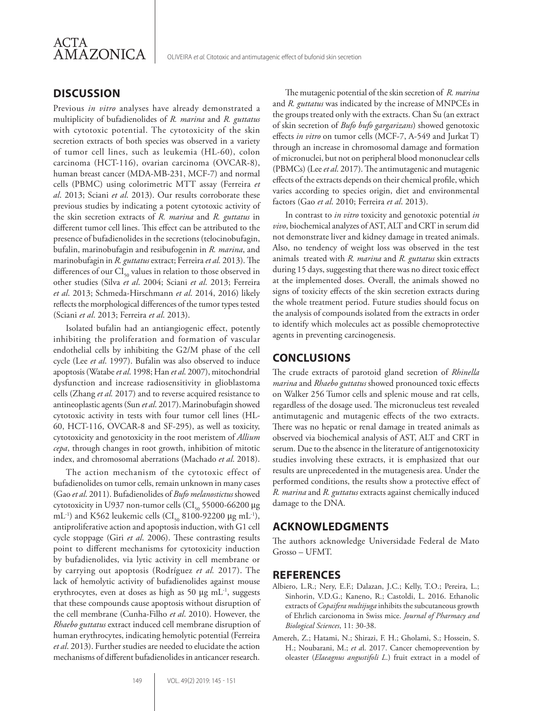

## **DISCUSSION**

Previous *in vitro* analyses have already demonstrated a multiplicity of bufadienolides of *R. marina* and *R. guttatus* with cytotoxic potential. The cytotoxicity of the skin secretion extracts of both species was observed in a variety of tumor cell lines, such as leukemia (HL-60), colon carcinoma (HCT-116), ovarian carcinoma (OVCAR-8), human breast cancer (MDA-MB-231, MCF-7) and normal cells (PBMC) using colorimetric MTT assay (Ferreira *et al*. 2013; Sciani *et al*. 2013). Our results corroborate these previous studies by indicating a potent cytotoxic activity of the skin secretion extracts of *R. marina* and *R. guttatus* in different tumor cell lines. This effect can be attributed to the presence of bufadienolides in the secretions (telocinobufagin, bufalin, marinobufagin and resibufogenin in *R. marina*, and marinobufagin in *R. guttatus* extract; Ferreira *et al.* 2013). The differences of our  $CI_{50}$  values in relation to those observed in other studies (Silva *et al*. 2004; Sciani *et al*. 2013; Ferreira *et al*. 2013; Schmeda-Hirschmann *et al*. 2014, 2016) likely reflects the morphological differences of the tumor types tested (Sciani *et al*. 2013; Ferreira *et al*. 2013).

Isolated bufalin had an antiangiogenic effect, potently inhibiting the proliferation and formation of vascular endothelial cells by inhibiting the G2/M phase of the cell cycle (Lee *et al*. 1997). Bufalin was also observed to induce apoptosis (Watabe *et al*. 1998; Han *et al*. 2007), mitochondrial dysfunction and increase radiosensitivity in glioblastoma cells (Zhang *et al.* 2017) and to reverse acquired resistance to antineoplastic agents (Sun *et al*. 2017).Marinobufagin showed cytotoxic activity in tests with four tumor cell lines (HL-60, HCT-116, OVCAR-8 and SF-295), as well as toxicity, cytotoxicity and genotoxicity in the root meristem of *Allium cepa*, through changes in root growth, inhibition of mitotic index, and chromosomal aberrations (Machado *et al*. 2018).

The action mechanism of the cytotoxic effect of bufadienolides on tumor cells, remain unknown in many cases (Gao *et al*. 2011). Bufadienolides of *Bufo melanostictus* showed cytotoxicity in U937 non-tumor cells ( $CI_{50}$  55000-66200 μg mL<sup>-1</sup>) and K562 leukemic cells (CI<sub>50</sub> 8100-92200 μg mL<sup>-1</sup>), antiproliferative action and apoptosis induction, with G1 cell cycle stoppage (Giri *et al*. 2006). These contrasting results point to different mechanisms for cytotoxicity induction by bufadienolides, via lytic activity in cell membrane or by carrying out apoptosis (Rodríguez *et al.* 2017). The lack of hemolytic activity of bufadienolides against mouse erythrocytes, even at doses as high as 50  $\mu$ g mL<sup>-1</sup>, suggests that these compounds cause apoptosis without disruption of the cell membrane (Cunha-Filho *et al*. 2010). However, the *Rhaebo guttatus* extract induced cell membrane disruption of human erythrocytes, indicating hemolytic potential (Ferreira *et al*. 2013). Further studies are needed to elucidate the action mechanisms of different bufadienolides in anticancer research.

The mutagenic potential of the skin secretion of *R. marina* and *R. guttatus* was indicated by the increase of MNPCEs in the groups treated only with the extracts. Chan Su (an extract of skin secretion of *Bufo bufo gargarizans*) showed genotoxic effects *in vitro* on tumor cells (MCF-7, A-549 and Jurkat T) through an increase in chromosomal damage and formation of micronuclei, but not on peripheral blood mononuclear cells (PBMCs) (Lee *et al*. 2017). The antimutagenic and mutagenic effects of the extracts depends on their chemical profile, which varies according to species origin, diet and environmental factors (Gao *et al*. 2010; Ferreira *et al*. 2013).

In contrast to *in vitro* toxicity and genotoxic potential *in vivo*, biochemical analyzes of AST, ALT and CRT in serum did not demonstrate liver and kidney damage in treated animals. Also, no tendency of weight loss was observed in the test animals treated with *R. marina* and *R. guttatus* skin extracts during 15 days, suggesting that there was no direct toxic effect at the implemented doses. Overall, the animals showed no signs of toxicity effects of the skin secretion extracts during the whole treatment period. Future studies should focus on the analysis of compounds isolated from the extracts in order to identify which molecules act as possible chemoprotective agents in preventing carcinogenesis.

## **CONCLUSIONS**

The crude extracts of parotoid gland secretion of *Rhinella marina* and *Rhaebo guttatus* showed pronounced toxic effects on Walker 256 Tumor cells and splenic mouse and rat cells, regardless of the dosage used. The micronucleus test revealed antimutagenic and mutagenic effects of the two extracts. There was no hepatic or renal damage in treated animals as observed via biochemical analysis of AST, ALT and CRT in serum. Due to the absence in the literature of antigenotoxicity studies involving these extracts, it is emphasized that our results are unprecedented in the mutagenesis area. Under the performed conditions, the results show a protective effect of *R. marina* and *R. guttatus* extracts against chemically induced damage to the DNA.

## **ACKNOWLEDGMENTS**

The authors acknowledge Universidade Federal de Mato Grosso – UFMT.

### **REFERENCES**

- Albiero, L.R.; Nery, E.F.; Dalazan, J.C.; Kelly, T.O.; Pereira, L.; Sinhorin, V.D.G.; Kaneno, R.; Castoldi, L. 2016. Ethanolic extracts of *Copaifera multijuga* inhibits the subcutaneous growth of Ehrlich carcionoma in Swiss mice. *Journal of Pharmacy and Biological Sciences*, 11: 30-38.
- Amereh, Z.; Hatami, N.; Shirazi, F. H.; Gholami, S.; Hossein, S. H.; Noubarani, M.; *et a*l. 2017. Cancer chemoprevention by oleaster (*Elaeagnus angustifoli L*.) fruit extract in a model of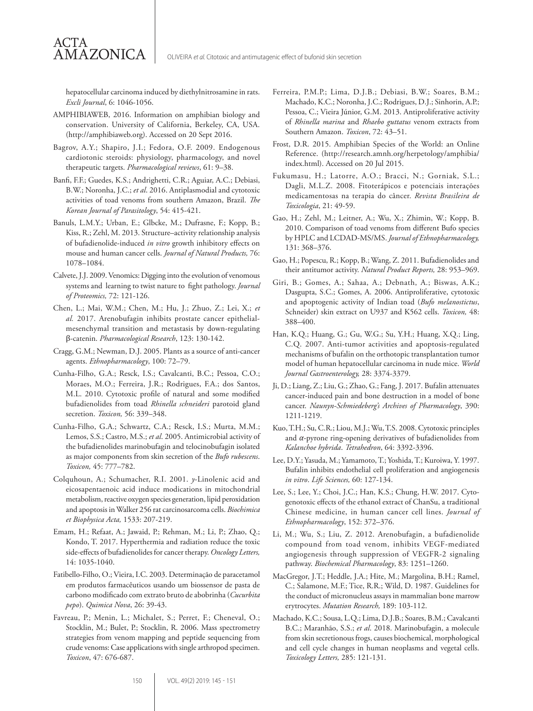hepatocellular carcinoma induced by diethylnitrosamine in rats. *Excli Journal*, 6: 1046-1056.

ACTA

AMAZONICA

- AMPHIBIAWEB, 2016. Information on amphibian biology and conservation. University of California, Berkeley, CA, USA. (http://amphibiaweb.org). Accessed on 20 Sept 2016.
- Bagrov, A.Y.; Shapiro, J.I.; Fedora, O.F. 2009. Endogenous cardiotonic steroids: physiology, pharmacology, and novel therapeutic targets. *Pharmacological reviews*, 61: 9–38.
- Banfi, F.F.; Guedes, K.S.; Andrighetti, C.R.; Aguiar, A.C.; Debiasi, B.W.; Noronha, J.C.; *et al*. 2016. Antiplasmodial and cytotoxic activities of toad venoms from southern Amazon, Brazil. *The Korean Journal of Parasitology*, 54: 415-421.
- Banuls, L.M.Y.; Urban, E.; Glbcke, M.; Dufrasne, F.; Kopp, B.; Kiss, R.; Zehl, M. 2013. Structure–activity relationship analysis of bufadienolide-induced *in vitro* growth inhibitory effects on mouse and human cancer cells. *Journal of Natural Products,* 76: 1078–1084.
- Calvete, J.J. 2009. Venomics: Digging into the evolution of venomous systems and learning to twist nature to fight pathology. *Journal of Proteomics,* 72: 121-126.
- Chen, L.; Mai, W.M.; Chen, M.; Hu, J.; Zhuo, Z.; Lei, X.; *et al.* 2017. Arenobufagin inhibits prostate cancer epithelialmesenchymal transition and metastasis by down-regulating β-catenin. *Pharmacological Research*, 123: 130-142.
- Cragg, G.M.; Newman, D.J. 2005. Plants as a source of anti-cancer agents. *Ethnopharmacology*, 100: 72–79.
- Cunha-Filho, G.A.; Resck, I.S.; Cavalcanti, B.C.; Pessoa, C.O.; Moraes, M.O.; Ferreira, J.R.; Rodrigues, F.A.; dos Santos, M.L. 2010. Cytotoxic profile of natural and some modified bufadienolides from toad *Rhinella schneideri* parotoid gland secretion. *Toxicon,* 56: 339–348.
- Cunha-Filho, G.A.; Schwartz, C.A.; Resck, I.S.; Murta, M.M.; Lemos, S.S.; Castro, M.S.; *et al*. 2005. Antimicrobial activity of the bufadienolides marinobufagin and telocinobufagin isolated as major components from skin secretion of the *Bufo rubescens*. *Toxicon,* 45: 777–782.
- Colquhoun, A.; Schumacher, R.I. 2001. *y*-Linolenic acid and eicosapentaenoic acid induce modications in mitochondrial metabolism, reactive oxygen species generation, lipid peroxidation and apoptosis in Walker 256 rat carcinosarcoma cells. *Biochimica et Biophysica Acta,* 1533: 207-219.
- Emam, H.; Refaat, A.; Jawaid, P.; Rehman, M.; Li, P.; Zhao, Q.; Kondo, T. 2017. Hyperthermia and radiation reduce the toxic side-effects of bufadienolides for cancer therapy. *Oncology Letters,*  14: 1035-1040.
- Fatibello-Filho, O.; Vieira, I.C. 2003. Determinação de paracetamol em produtos farmacêuticos usando um biossensor de pasta de carbono modificado com extrato bruto de abobrinha (*Cucurbita pepo*). *Quimica Nova*, 26: 39-43.
- Favreau, P.; Menin, L.; Michalet, S.; Perret, F.; Cheneval, O.; Stocklin, M.; Bulet, P.; Stocklin, R. 2006. Mass spectrometry strategies from venom mapping and peptide sequencing from crude venoms: Case applications with single arthropod specimen. *Toxicon*, 47: 676-687.
- Ferreira, P.M.P.; Lima, D.J.B.; Debiasi, B.W.; Soares, B.M.; Machado, K.C.; Noronha, J.C.; Rodrigues, D.J.; Sinhorin, A.P.; Pessoa, C.; Vieira Júnior, G.M. 2013. Antiproliferative activity of *Rhinella marina* and *Rhaebo guttatus* venom extracts from Southern Amazon. *Toxicon*, 72: 43–51.
- Frost, D.R. 2015. Amphibian Species of the World: an Online Reference. (http://research.amnh.org/herpetology/amphibia/ index.html). Accessed on 20 Jul 2015.
- Fukumasu, H.; Latorre, A.O.; Bracci, N.; Gorniak, S.L.; Dagli, M.L.Z. 2008. Fitoterápicos e potenciais interações medicamentosas na terapia do câncer. *Revista Brasileira de Toxicologia*, 21: 49-59.
- Gao, H.; Zehl, M.; Leitner, A.; Wu, X.; Zhimin, W.; Kopp, B. 2010. Comparison of toad venoms from different Bufo species by HPLC and LCDAD-MS/MS. *Journal of Ethnopharmacology,*  131: 368–376.
- Gao, H.; Popescu, R.; Kopp, B.; Wang, Z. 2011. Bufadienolides and their antitumor activity. *Natural Product Reports,* 28: 953–969.
- Giri, B.; Gomes, A.; Sahaa, A.; Debnath, A.; Biswas, A.K.; Dasgupta, S.C.; Gomes, A. 2006. Antiproliferative, cytotoxic and apoptogenic activity of Indian toad (*Bufo melanostictus*, Schneider) skin extract on U937 and K562 cells. *Toxicon,* 48: 388–400.
- Han, K.Q.; Huang, G.; Gu, W.G.; Su, Y.H.; Huang, X.Q.; Ling, C.Q. 2007. Anti-tumor activities and apoptosis-regulated mechanisms of bufalin on the orthotopic transplantation tumor model of human hepatocellular carcinoma in nude mice. *World Journal Gastroenterology,* 28: 3374-3379.
- Ji, D.; Liang, Z.; Liu, G.; Zhao, G.; Fang, J. 2017. Bufalin attenuates cancer-induced pain and bone destruction in a model of bone cancer. *Naunyn-Schmiedeberg's Archives of Pharmacology*, 390: 1211-1219.
- Kuo, T.H.; Su, C.R.; Liou, M.J.; Wu, T.S. 2008. Cytotoxic principles and *α*-pyrone ring-opening derivatives of bufadienolides from *Kalanchoe hybrida*. *Tetrahedron*, 64: 3392-3396.
- Lee, D.Y.; Yasuda, M.; Yamamoto, T.; Yoshida, T.; Kuroiwa, Y. 1997. Bufalin inhibits endothelial cell proliferation and angiogenesis *in vitro*. *Life Sciences,* 60: 127-134.
- Lee, S.; Lee, Y.; Choi, J.C.; Han, K.S.; Chung, H.W. 2017. Cytogenotoxic effects of the ethanol extract of ChanSu, a traditional Chinese medicine, in human cancer cell lines. *Journal of Ethnopharmacology*, 152: 372–376.
- Li, M.; Wu, S.; Liu, Z. 2012. Arenobufagin, a bufadienolide compound from toad venom, inhibits VEGF-mediated angiogenesis through suppression of VEGFR-2 signaling pathway. *Biochemical Pharmacology*, 83: 1251–1260.
- MacGregor, J.T.; Heddle, J.A.; Hite, M.; Margolina, B.H.; Ramel, C.; Salamone, M.F.; Tice, R.R.; Wild, D. 1987. Guidelines for the conduct of micronucleus assays in mammalian bone marrow erytrocytes. *Mutation Research,* 189: 103-112.
- Machado, K.C.; Sousa, L.Q.; Lima, D.J.B.; Soares, B.M.; Cavalcanti B.C.; Maranhão, S.S.; *et al*. 2018. Marinobufagin, a molecule from skin secretionous frogs, causes biochemical, morphological and cell cycle changes in human neoplasms and vegetal cells. *Toxicology Letters,* 285: 121-131.